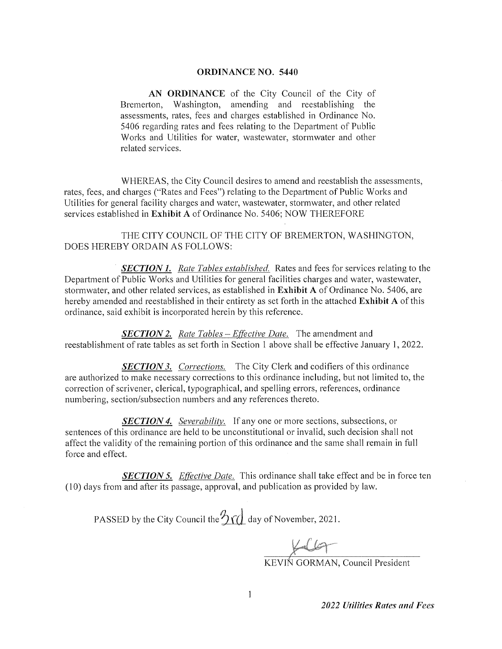### **ORDINANCE NO. 5440**

AN ORDINANCE of the City Council of the City of Bremerton, Washington, amending and reestablishing the assessments, rates, fees and charges established in Ordinance No. 5406 regarding rates and fees relating to the Department of Public Works and Utilities for water, wastewater, stormwater and other related services.

WHEREAS, the City Council desires to amend and reestablish the assessments, rates, fees, and charges ("Rates and Fees") relating to the Department of Public Works and Utilities for general facility charges and water, wastewater, stormwater, and other related services established in Exhibit A of Ordinance No. 5406; NOW THEREFORE

THE CITY COUNCIL OF THE CITY OF BREMERTON, WASHINGTON, DOES HEREBY ORDAIN AS FOLLOWS:

**SECTION 1.** Rate Tables established. Rates and fees for services relating to the Department of Public Works and Utilities for general facilities charges and water, wastewater, stormwater, and other related services, as established in **Exhibit A** of Ordinance No. 5406, are hereby amended and reestablished in their entirety as set forth in the attached **Exhibit A** of this ordinance, said exhibit is incorporated herein by this reference.

**SECTION 2.** Rate Tables - Effective Date. The amendment and reestablishment of rate tables as set forth in Section 1 above shall be effective January 1, 2022.

**SECTION 3.** Corrections. The City Clerk and codifiers of this ordinance are authorized to make necessary corrections to this ordinance including, but not limited to, the correction of scrivener, clerical, typographical, and spelling errors, references, ordinance numbering, section/subsection numbers and any references thereto.

**SECTION 4.** Severability. If any one or more sections, subsections, or sentences of this ordinance are held to be unconstitutional or invalid, such decision shall not affect the validity of the remaining portion of this ordinance and the same shall remain in full force and effect.

**SECTION 5.** Effective Date. This ordinance shall take effect and be in force ten (10) days from and after its passage, approval, and publication as provided by law.

PASSED by the City Council the  $\frac{p}{\sqrt{2}}$  day of November, 2021.

KEVIN GORMAN, Council President

2022 Utilities Rates and Fees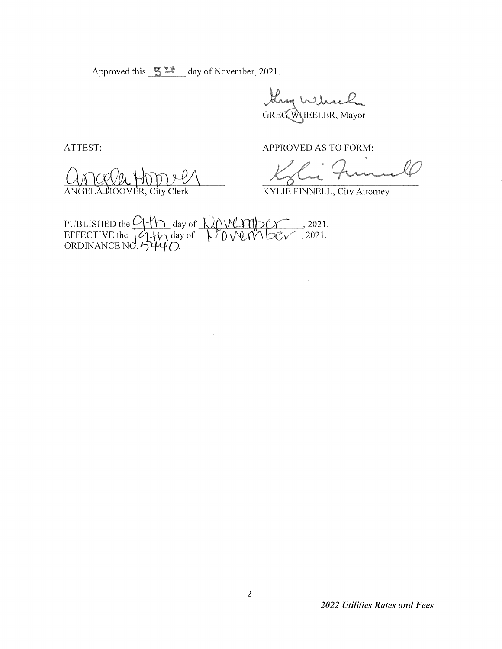Approved this  $5^{**}$  day of November, 2021.

they which

ATTEST:

ANGELA HOOVER, City Clerk

APPROVED AS TO FORM:

**KYLIE FINNELL, City Attorney** 

PUBLISHED the  $9 + 1$  day of  $0.000$  m  $0.000$  m  $0.2021$ .<br>EFFECTIVE the  $19 + 12$  day of  $0.000$  m  $0.000$  m  $0.2021$ .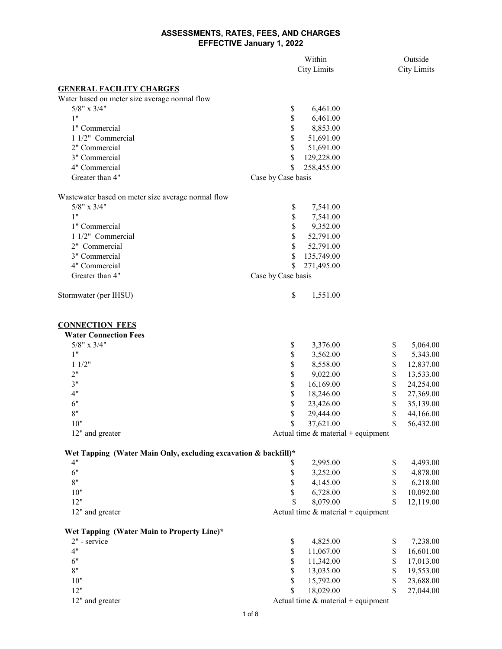|                                                                                  |                                      | Within                               |             |           |  |
|----------------------------------------------------------------------------------|--------------------------------------|--------------------------------------|-------------|-----------|--|
|                                                                                  |                                      | <b>City Limits</b>                   |             |           |  |
|                                                                                  |                                      |                                      |             |           |  |
| <b>GENERAL FACILITY CHARGES</b><br>Water based on meter size average normal flow |                                      |                                      |             |           |  |
| $5/8"$ x $3/4"$                                                                  | \$                                   | 6,461.00                             |             |           |  |
| 1"                                                                               | \$                                   | 6,461.00                             |             |           |  |
| 1" Commercial                                                                    | \$                                   | 8,853.00                             |             |           |  |
| 1 1/2" Commercial                                                                | \$                                   | 51,691.00                            |             |           |  |
| 2" Commercial                                                                    | \$                                   | 51,691.00                            |             |           |  |
| 3" Commercial                                                                    | \$                                   | 129,228.00                           |             |           |  |
| 4" Commercial                                                                    | \$                                   | 258,455.00                           |             |           |  |
| Greater than 4"                                                                  | Case by Case basis                   |                                      |             |           |  |
| Wastewater based on meter size average normal flow                               |                                      |                                      |             |           |  |
| $5/8"$ x $3/4"$                                                                  | \$                                   | 7,541.00                             |             |           |  |
| 1"                                                                               | \$                                   | 7,541.00                             |             |           |  |
| 1" Commercial                                                                    | \$                                   | 9,352.00                             |             |           |  |
| 1 1/2" Commercial                                                                | \$                                   | 52,791.00                            |             |           |  |
| 2" Commercial                                                                    | \$                                   | 52,791.00                            |             |           |  |
| 3" Commercial                                                                    |                                      | 135,749.00                           |             |           |  |
| 4" Commercial                                                                    |                                      |                                      |             |           |  |
| Greater than 4"                                                                  | S                                    | 271,495.00                           |             |           |  |
|                                                                                  | Case by Case basis                   |                                      |             |           |  |
| Stormwater (per IHSU)                                                            | \$                                   | 1,551.00                             |             |           |  |
| <b>CONNECTION FEES</b>                                                           |                                      |                                      |             |           |  |
| <b>Water Connection Fees</b>                                                     |                                      |                                      |             |           |  |
| $5/8"$ x $3/4"$                                                                  | \$                                   | 3,376.00                             | \$          | 5,064.00  |  |
| 1"                                                                               | \$                                   | 3,562.00                             | $\$$        | 5,343.00  |  |
| 11/2"                                                                            | \$                                   | 8,558.00                             | \$          | 12,837.00 |  |
| 2"                                                                               | \$                                   | 9,022.00                             | $\mathbb S$ | 13,533.00 |  |
| 3"                                                                               | \$                                   | 16,169.00                            | \$          | 24,254.00 |  |
| 4"                                                                               | \$                                   | 18,246.00                            | \$          | 27,369.00 |  |
| 6"                                                                               | \$                                   | 23,426.00                            | \$          | 35,139.00 |  |
| 8"                                                                               | \$                                   | 29,444.00                            | \$          | 44,166.00 |  |
| 10"                                                                              | \$                                   | 37,621.00                            | \$          | 56,432.00 |  |
| 12" and greater                                                                  |                                      | Actual time $&$ material + equipment |             |           |  |
| Wet Tapping (Water Main Only, excluding excavation & backfill)*                  |                                      |                                      |             |           |  |
| 4"                                                                               | \$                                   | 2,995.00                             | \$          | 4,493.00  |  |
| 6"                                                                               | \$                                   | 3,252.00                             | \$          | 4,878.00  |  |
| 8"                                                                               | \$                                   | 4,145.00                             | \$          | 6,218.00  |  |
| $10"$                                                                            | \$                                   | 6,728.00                             | \$          | 10,092.00 |  |
| 12"                                                                              | \$                                   | 8,079.00                             | \$          | 12,119.00 |  |
| 12" and greater                                                                  |                                      | Actual time $&$ material + equipment |             |           |  |
|                                                                                  |                                      |                                      |             |           |  |
| Wet Tapping (Water Main to Property Line)*<br>2" - service                       |                                      |                                      |             |           |  |
| 4"                                                                               | \$                                   | 4,825.00                             | \$          | 7,238.00  |  |
|                                                                                  | \$                                   | 11,067.00                            | $\mathbb S$ | 16,601.00 |  |
| 6"<br>8"                                                                         | \$                                   | 11,342.00                            | \$          | 17,013.00 |  |
|                                                                                  | \$                                   | 13,035.00                            | \$          | 19,553.00 |  |
| 10"                                                                              | \$                                   | 15,792.00                            | \$          | 23,688.00 |  |
| 12"                                                                              | \$.                                  | 18,029.00                            | \$          | 27,044.00 |  |
| 12" and greater                                                                  | Actual time $&$ material + equipment |                                      |             |           |  |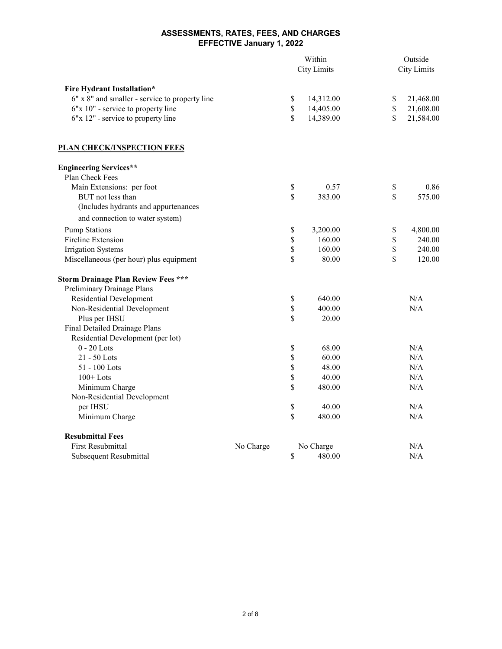|                                                |           | Within             |           |                    | Outside   |  |
|------------------------------------------------|-----------|--------------------|-----------|--------------------|-----------|--|
|                                                |           | <b>City Limits</b> |           | <b>City Limits</b> |           |  |
| <b>Fire Hydrant Installation*</b>              |           |                    |           |                    |           |  |
| 6" x 8" and smaller - service to property line |           | \$                 | 14,312.00 | \$                 | 21,468.00 |  |
| 6"x 10" - service to property line             |           | \$                 | 14,405.00 | \$                 | 21,608.00 |  |
| 6"x 12" - service to property line             |           | \$                 | 14,389.00 | $\mathbb{S}$       | 21,584.00 |  |
|                                                |           |                    |           |                    |           |  |
| <b>PLAN CHECK/INSPECTION FEES</b>              |           |                    |           |                    |           |  |
| <b>Engineering Services**</b>                  |           |                    |           |                    |           |  |
| Plan Check Fees                                |           |                    |           |                    |           |  |
| Main Extensions: per foot                      |           | \$                 | 0.57      | \$                 | 0.86      |  |
| BUT not less than                              |           | \$                 | 383.00    | \$                 | 575.00    |  |
| (Includes hydrants and appurtenances           |           |                    |           |                    |           |  |
| and connection to water system)                |           |                    |           |                    |           |  |
| <b>Pump Stations</b>                           |           | \$                 | 3,200.00  | \$                 | 4,800.00  |  |
| Fireline Extension                             |           | \$                 | 160.00    | \$                 | 240.00    |  |
| <b>Irrigation Systems</b>                      |           | \$                 | 160.00    | \$                 | 240.00    |  |
| Miscellaneous (per hour) plus equipment        |           | \$                 | 80.00     | \$                 | 120.00    |  |
| <b>Storm Drainage Plan Review Fees ***</b>     |           |                    |           |                    |           |  |
| Preliminary Drainage Plans                     |           |                    |           |                    |           |  |
| <b>Residential Development</b>                 |           | \$                 | 640.00    |                    | N/A       |  |
| Non-Residential Development                    |           | \$                 | 400.00    |                    | N/A       |  |
| Plus per IHSU                                  |           | \$                 | 20.00     |                    |           |  |
| Final Detailed Drainage Plans                  |           |                    |           |                    |           |  |
| Residential Development (per lot)              |           |                    |           |                    |           |  |
| $0 - 20$ Lots                                  |           | \$                 | 68.00     |                    | N/A       |  |
| 21 - 50 Lots                                   |           | \$                 | 60.00     |                    | N/A       |  |
| 51 - 100 Lots                                  |           | \$                 | 48.00     |                    | N/A       |  |
| $100+$ Lots                                    |           | \$                 | 40.00     |                    | N/A       |  |
| Minimum Charge                                 |           | \$                 | 480.00    |                    | N/A       |  |
| Non-Residential Development                    |           |                    |           |                    |           |  |
| per IHSU                                       |           | \$                 | 40.00     |                    | N/A       |  |
| Minimum Charge                                 |           | \$                 | 480.00    |                    | N/A       |  |
| <b>Resubmittal Fees</b>                        |           |                    |           |                    |           |  |
| <b>First Resubmittal</b>                       | No Charge |                    | No Charge |                    | N/A       |  |
| Subsequent Resubmittal                         |           | \$                 | 480.00    |                    | N/A       |  |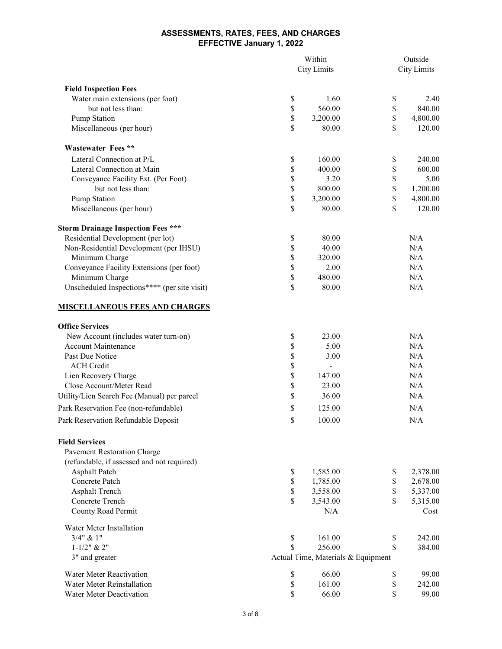|                                              | <b>City Limits</b>                 |          | Outside<br><b>City Limits</b> |          |
|----------------------------------------------|------------------------------------|----------|-------------------------------|----------|
| <b>Field Inspection Fees</b>                 |                                    |          |                               |          |
| Water main extensions (per foot)             | \$                                 | 1.60     | \$                            | 2.40     |
| but not less than:                           | \$                                 | 560.00   | \$                            | 840.00   |
| <b>Pump Station</b>                          | \$                                 | 3,200.00 | \$                            | 4,800.00 |
| Miscellaneous (per hour)                     | \$                                 | 80.00    | \$                            | 120.00   |
| <b>Wastewater Fees **</b>                    |                                    |          |                               |          |
| Lateral Connection at P/L                    | \$                                 | 160.00   | \$                            | 240.00   |
| Lateral Connection at Main                   | \$                                 | 400.00   | \$                            | 600.00   |
| Conveyance Facility Ext. (Per Foot)          | \$                                 | 3.20     | \$                            | 5.00     |
| but not less than:                           | \$                                 | 800.00   | \$                            | 1,200.00 |
| Pump Station                                 | \$                                 | 3,200.00 | \$                            | 4,800.00 |
| Miscellaneous (per hour)                     | \$                                 | 80.00    | \$                            | 120.00   |
| <b>Storm Drainage Inspection Fees ***</b>    |                                    |          |                               |          |
| Residential Development (per lot)            | \$                                 | 80.00    |                               | N/A      |
| Non-Residential Development (per IHSU)       | \$                                 | 40.00    |                               | N/A      |
| Minimum Charge                               | \$                                 | 320.00   |                               | N/A      |
| Conveyance Facility Extensions (per foot)    | \$                                 | 2.00     |                               | N/A      |
| Minimum Charge                               | \$                                 | 480.00   |                               | N/A      |
| Unscheduled Inspections**** (per site visit) | \$                                 | 80.00    |                               | N/A      |
| <u>MISCELLANEOUS FEES AND CHARGES</u>        |                                    |          |                               |          |
| <b>Office Services</b>                       |                                    |          |                               |          |
| New Account (includes water turn-on)         | \$                                 | 23.00    |                               | N/A      |
| <b>Account Maintenance</b>                   | \$                                 | 5.00     |                               | N/A      |
| Past Due Notice                              | \$                                 | 3.00     |                               | N/A      |
| <b>ACH</b> Credit                            | \$                                 |          |                               | N/A      |
| Lien Recovery Charge                         | \$                                 | 147.00   |                               | N/A      |
| Close Account/Meter Read                     | \$                                 | 23.00    |                               | N/A      |
| Utility/Lien Search Fee (Manual) per parcel  | \$                                 | 36.00    |                               | N/A      |
| Park Reservation Fee (non-refundable)        | \$                                 | 125.00   |                               | N/A      |
| Park Reservation Refundable Deposit          | \$                                 | 100.00   |                               | N/A      |
| <b>Field Services</b>                        |                                    |          |                               |          |
| <b>Pavement Restoration Charge</b>           |                                    |          |                               |          |
| (refundable, if assessed and not required)   |                                    |          |                               |          |
| <b>Asphalt Patch</b>                         | \$                                 | 1,585.00 | \$                            | 2,378.00 |
| Concrete Patch                               | \$                                 | 1,785.00 | \$                            | 2,678.00 |
| <b>Asphalt Trench</b>                        | \$                                 | 3,558.00 | \$                            | 5,337.00 |
| Concrete Trench                              | \$                                 | 3,543.00 | \$                            | 5,315.00 |
| County Road Permit                           |                                    | N/A      |                               | Cost     |
| Water Meter Installation                     |                                    |          |                               |          |
| $3/4$ " & 1"                                 | \$                                 | 161.00   | \$                            | 242.00   |
| $1 - 1/2$ " & 2"                             | \$                                 | 256.00   | \$                            | 384.00   |
| 3" and greater                               | Actual Time, Materials & Equipment |          |                               |          |
| <b>Water Meter Reactivation</b>              | \$                                 | 66.00    | \$                            | 99.00    |
| Water Meter Reinstallation                   | \$                                 | 161.00   | \$                            | 242.00   |
| Water Meter Deactivation                     | \$                                 | 66.00    | \$                            | 99.00    |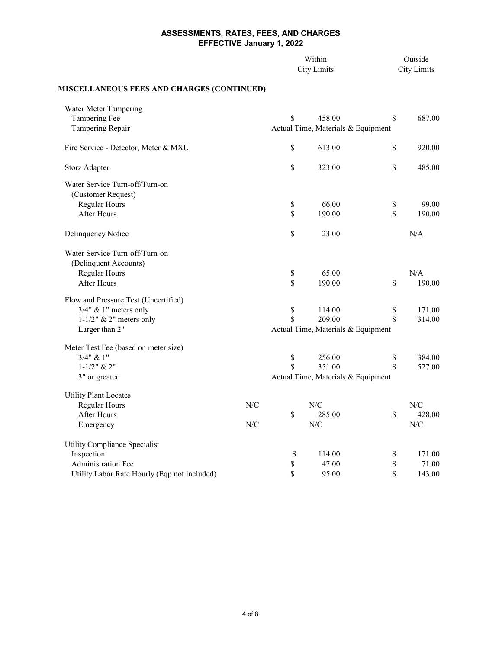|                                                   |     | Within<br><b>City Limits</b>       |                                    |              | Outside<br><b>City Limits</b> |
|---------------------------------------------------|-----|------------------------------------|------------------------------------|--------------|-------------------------------|
| <b>MISCELLANEOUS FEES AND CHARGES (CONTINUED)</b> |     |                                    |                                    |              |                               |
| Water Meter Tampering                             |     |                                    |                                    |              |                               |
| Tampering Fee                                     |     | \$                                 | 458.00                             | \$           | 687.00                        |
| Tampering Repair                                  |     |                                    | Actual Time, Materials & Equipment |              |                               |
| Fire Service - Detector, Meter & MXU              |     | \$                                 | 613.00                             | $\mathbb{S}$ | 920.00                        |
| Storz Adapter                                     |     | \$                                 | 323.00                             | $\mathbb{S}$ | 485.00                        |
| Water Service Turn-off/Turn-on                    |     |                                    |                                    |              |                               |
| (Customer Request)                                |     |                                    |                                    |              |                               |
| Regular Hours                                     |     | \$                                 | 66.00                              | \$           | 99.00                         |
| <b>After Hours</b>                                |     | \$                                 | 190.00                             | $\mathbb{S}$ | 190.00                        |
| Delinquency Notice                                |     | \$                                 | 23.00                              |              | N/A                           |
| Water Service Turn-off/Turn-on                    |     |                                    |                                    |              |                               |
| (Delinquent Accounts)                             |     |                                    |                                    |              |                               |
| Regular Hours                                     |     | \$                                 | 65.00                              |              | N/A                           |
| <b>After Hours</b>                                |     | \$                                 | 190.00                             | $\mathbb{S}$ | 190.00                        |
| Flow and Pressure Test (Uncertified)              |     |                                    |                                    |              |                               |
| $3/4$ " & 1" meters only                          |     | $\mathbb S$                        | 114.00                             | \$           | 171.00                        |
| $1-1/2$ " & 2" meters only                        |     | $\overline{\mathbb{S}}$            | 209.00                             | \$           | 314.00                        |
| Larger than 2"                                    |     | Actual Time, Materials & Equipment |                                    |              |                               |
| Meter Test Fee (based on meter size)              |     |                                    |                                    |              |                               |
| $3/4$ " & $1$ "                                   |     | \$                                 | 256.00                             | \$           | 384.00                        |
| $1 - 1/2$ " & $2$ "                               |     | $\mathbf S$                        | 351.00                             | \$           | 527.00                        |
| 3" or greater                                     |     | Actual Time, Materials & Equipment |                                    |              |                               |
| <b>Utility Plant Locates</b>                      |     |                                    |                                    |              |                               |
| Regular Hours                                     | N/C |                                    | N/C                                |              | N/C                           |
| After Hours                                       |     | \$                                 | 285.00                             | \$           | 428.00                        |
| Emergency                                         | N/C |                                    | N/C                                |              | N/C                           |
| Utility Compliance Specialist                     |     |                                    |                                    |              |                               |
| Inspection                                        |     | \$                                 | 114.00                             | \$           | 171.00                        |
| Administration Fee                                |     | \$                                 | 47.00                              | \$           | 71.00                         |
| Utility Labor Rate Hourly (Eqp not included)      |     | \$                                 | 95.00                              | \$           | 143.00                        |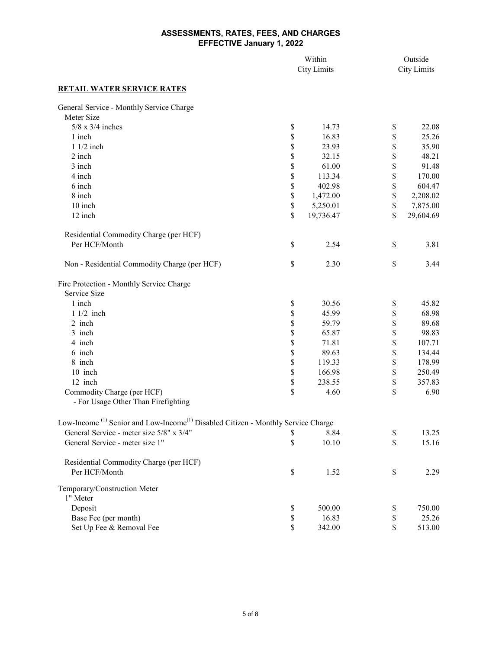|                                                                                                          | Within<br><b>City Limits</b> |           |             | Outside<br><b>City Limits</b> |
|----------------------------------------------------------------------------------------------------------|------------------------------|-----------|-------------|-------------------------------|
| <b>RETAIL WATER SERVICE RATES</b>                                                                        |                              |           |             |                               |
| General Service - Monthly Service Charge                                                                 |                              |           |             |                               |
| Meter Size                                                                                               |                              |           |             |                               |
| $5/8$ x $3/4$ inches                                                                                     | \$                           | 14.73     | \$          | 22.08                         |
| 1 inch                                                                                                   | \$                           | 16.83     | \$          | 25.26                         |
| 1 1/2 inch                                                                                               | \$                           | 23.93     | \$          | 35.90                         |
| 2 inch                                                                                                   | \$                           | 32.15     | \$          | 48.21                         |
| 3 inch                                                                                                   | \$                           | 61.00     | \$          | 91.48                         |
| 4 inch                                                                                                   | \$                           | 113.34    | \$          | 170.00                        |
| 6 inch                                                                                                   | \$                           | 402.98    | \$          | 604.47                        |
| 8 inch                                                                                                   | \$                           | 1,472.00  | \$          | 2,208.02                      |
| 10 inch                                                                                                  | \$                           | 5,250.01  | \$          | 7,875.00                      |
| 12 inch                                                                                                  | \$                           | 19,736.47 | \$          | 29,604.69                     |
| Residential Commodity Charge (per HCF)                                                                   |                              |           |             |                               |
| Per HCF/Month                                                                                            | \$                           | 2.54      | $\mathbb S$ | 3.81                          |
| Non - Residential Commodity Charge (per HCF)                                                             | $\mathbb S$                  | 2.30      | $\mathbb S$ | 3.44                          |
| Fire Protection - Monthly Service Charge                                                                 |                              |           |             |                               |
| Service Size                                                                                             |                              |           |             |                               |
| 1 inch                                                                                                   | \$                           | 30.56     | \$          | 45.82                         |
| $11/2$ inch                                                                                              | \$                           | 45.99     | \$          | 68.98                         |
| 2 inch                                                                                                   | \$                           | 59.79     | \$          | 89.68                         |
| 3 inch                                                                                                   | \$                           | 65.87     | \$          | 98.83                         |
| 4 inch                                                                                                   | \$                           | 71.81     | \$          | 107.71                        |
| 6 inch                                                                                                   | $\mathbb S$                  | 89.63     | \$          | 134.44                        |
| 8 inch                                                                                                   | $\mathbb S$                  | 119.33    | \$          | 178.99                        |
| 10 inch                                                                                                  | $\mathbb S$                  | 166.98    | \$          | 250.49                        |
| 12 inch                                                                                                  | \$                           | 238.55    | \$          | 357.83                        |
| Commodity Charge (per HCF)                                                                               | \$                           | 4.60      | \$          | 6.90                          |
| - For Usage Other Than Firefighting                                                                      |                              |           |             |                               |
| Low-Income <sup>(1)</sup> Senior and Low-Income <sup>(1)</sup> Disabled Citizen - Monthly Service Charge |                              |           |             |                               |
| General Service - meter size 5/8" x 3/4"                                                                 | \$                           | 8.84      | \$          | 13.25                         |
| General Service - meter size 1"                                                                          | \$                           | 10.10     | \$          | 15.16                         |
| Residential Commodity Charge (per HCF)                                                                   |                              |           |             |                               |
| Per HCF/Month                                                                                            | $\mathbb S$                  | 1.52      | \$          | 2.29                          |
| Temporary/Construction Meter                                                                             |                              |           |             |                               |
| 1" Meter                                                                                                 |                              |           |             |                               |
| Deposit                                                                                                  | \$                           | 500.00    | \$          | 750.00                        |
| Base Fee (per month)                                                                                     | \$                           | 16.83     | \$          | 25.26                         |
| Set Up Fee & Removal Fee                                                                                 | \$                           | 342.00    | \$          | 513.00                        |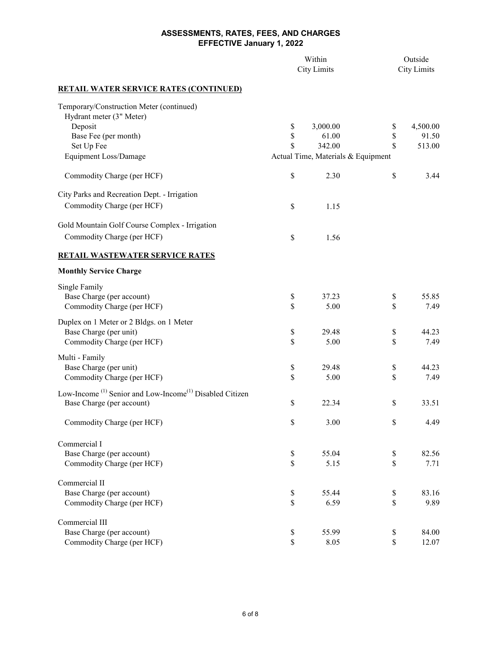|                                                                                 | Within<br><b>City Limits</b> |                                    |               | Outside<br><b>City Limits</b> |  |
|---------------------------------------------------------------------------------|------------------------------|------------------------------------|---------------|-------------------------------|--|
| <b>RETAIL WATER SERVICE RATES (CONTINUED)</b>                                   |                              |                                    |               |                               |  |
| Temporary/Construction Meter (continued)                                        |                              |                                    |               |                               |  |
| Hydrant meter (3" Meter)                                                        |                              |                                    |               |                               |  |
| Deposit<br>Base Fee (per month)                                                 | $\mathbb{S}$<br>\$           | 3,000.00<br>61.00                  | $\$$<br>\$    | 4,500.00<br>91.50             |  |
| Set Up Fee                                                                      | \$                           | 342.00                             | \$            | 513.00                        |  |
| Equipment Loss/Damage                                                           |                              | Actual Time, Materials & Equipment |               |                               |  |
| Commodity Charge (per HCF)                                                      | \$                           | 2.30                               | $\mathbb{S}$  | 3.44                          |  |
| City Parks and Recreation Dept. - Irrigation                                    |                              |                                    |               |                               |  |
| Commodity Charge (per HCF)                                                      | \$                           | 1.15                               |               |                               |  |
| Gold Mountain Golf Course Complex - Irrigation                                  |                              |                                    |               |                               |  |
| Commodity Charge (per HCF)                                                      | \$                           | 1.56                               |               |                               |  |
| <b>RETAIL WASTEWATER SERVICE RATES</b>                                          |                              |                                    |               |                               |  |
| <b>Monthly Service Charge</b>                                                   |                              |                                    |               |                               |  |
| Single Family                                                                   |                              |                                    |               |                               |  |
| Base Charge (per account)                                                       | \$                           | 37.23                              | \$            | 55.85                         |  |
| Commodity Charge (per HCF)                                                      | \$                           | 5.00                               | \$            | 7.49                          |  |
| Duplex on 1 Meter or 2 Bldgs. on 1 Meter                                        |                              |                                    |               |                               |  |
| Base Charge (per unit)                                                          | \$                           | 29.48                              | $\$$          | 44.23                         |  |
| Commodity Charge (per HCF)                                                      | \$                           | 5.00                               | \$            | 7.49                          |  |
| Multi - Family                                                                  |                              |                                    |               |                               |  |
| Base Charge (per unit)                                                          | \$                           | 29.48                              | $\$$          | 44.23                         |  |
| Commodity Charge (per HCF)                                                      | \$                           | 5.00                               | \$            | 7.49                          |  |
| Low-Income <sup>(1)</sup> Senior and Low-Income <sup>(1)</sup> Disabled Citizen |                              |                                    |               |                               |  |
| Base Charge (per account)                                                       | \$                           | 22.34                              | \$            | 33.51                         |  |
|                                                                                 |                              |                                    |               |                               |  |
| Commodity Charge (per HCF)                                                      | \$                           | 3.00                               | $\mathbb S$   | 4.49                          |  |
| Commercial I                                                                    |                              |                                    |               |                               |  |
| Base Charge (per account)                                                       | \$                           | 55.04                              | \$            | 82.56                         |  |
| Commodity Charge (per HCF)                                                      | \$                           | 5.15                               | $\mathsf{\$}$ | 7.71                          |  |
| Commercial II                                                                   |                              |                                    |               |                               |  |
| Base Charge (per account)                                                       | \$                           | 55.44                              | \$            | 83.16                         |  |
| Commodity Charge (per HCF)                                                      | \$                           | 6.59                               | $\mathbb{S}$  | 9.89                          |  |
| Commercial III                                                                  |                              |                                    |               |                               |  |
| Base Charge (per account)                                                       | $\mathbb{S}$                 | 55.99                              | \$            | 84.00                         |  |
| Commodity Charge (per HCF)                                                      | $\mathbb{S}$                 | 8.05                               | \$            | 12.07                         |  |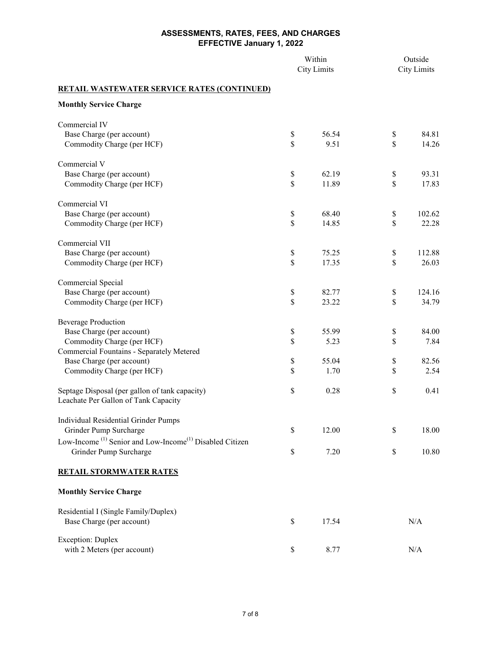|                                                                                 | Within<br><b>City Limits</b>                |       | Outside<br><b>City Limits</b>     |        |
|---------------------------------------------------------------------------------|---------------------------------------------|-------|-----------------------------------|--------|
| <b>RETAIL WASTEWATER SERVICE RATES (CONTINUED)</b>                              |                                             |       |                                   |        |
| <b>Monthly Service Charge</b>                                                   |                                             |       |                                   |        |
| Commercial IV                                                                   |                                             |       |                                   |        |
| Base Charge (per account)                                                       | $\$$                                        | 56.54 | \$                                | 84.81  |
| Commodity Charge (per HCF)                                                      | \$                                          | 9.51  | \$                                | 14.26  |
| Commercial V                                                                    |                                             |       |                                   |        |
| Base Charge (per account)                                                       | $\$$                                        | 62.19 | \$                                | 93.31  |
| Commodity Charge (per HCF)                                                      | \$                                          | 11.89 | $\mathbb{S}$                      | 17.83  |
| Commercial VI                                                                   |                                             |       |                                   |        |
| Base Charge (per account)                                                       | \$                                          | 68.40 | \$                                | 102.62 |
| Commodity Charge (per HCF)                                                      | \$                                          | 14.85 | \$                                | 22.28  |
| Commercial VII                                                                  |                                             |       |                                   |        |
| Base Charge (per account)                                                       | $\$$                                        | 75.25 | $\$$                              | 112.88 |
| Commodity Charge (per HCF)                                                      | $\mathbb{S}$                                | 17.35 | \$                                | 26.03  |
| Commercial Special                                                              |                                             |       |                                   |        |
| Base Charge (per account)                                                       | \$                                          | 82.77 | \$                                | 124.16 |
| Commodity Charge (per HCF)                                                      | \$                                          | 23.22 | \$                                | 34.79  |
| <b>Beverage Production</b>                                                      |                                             |       |                                   |        |
| Base Charge (per account)                                                       | \$                                          | 55.99 | \$                                | 84.00  |
| Commodity Charge (per HCF)                                                      | \$                                          | 5.23  | \$                                | 7.84   |
| Commercial Fountains - Separately Metered                                       |                                             |       |                                   |        |
| Base Charge (per account)                                                       | $\mathbb{S}% _{n}^{X\rightarrow\mathbb{R}}$ | 55.04 | \$                                | 82.56  |
| Commodity Charge (per HCF)                                                      | \$                                          | 1.70  | \$                                | 2.54   |
| Septage Disposal (per gallon of tank capacity)                                  | $\mathbb{S}$                                | 0.28  | $\mathbb{S}$                      | 0.41   |
| Leachate Per Gallon of Tank Capacity                                            |                                             |       |                                   |        |
| Individual Residential Grinder Pumps                                            |                                             |       |                                   |        |
| Grinder Pump Surcharge                                                          | \$                                          | 12.00 | $\mathbb{S}% _{t}\left( t\right)$ | 18.00  |
| Low-Income <sup>(1)</sup> Senior and Low-Income <sup>(1)</sup> Disabled Citizen |                                             |       |                                   |        |
| Grinder Pump Surcharge                                                          | $\mathbb{S}$                                | 7.20  | $\mathbb{S}$                      | 10.80  |
| <b>RETAIL STORMWATER RATES</b>                                                  |                                             |       |                                   |        |
| <b>Monthly Service Charge</b>                                                   |                                             |       |                                   |        |
| Residential I (Single Family/Duplex)                                            |                                             |       |                                   |        |
| Base Charge (per account)                                                       | \$                                          | 17.54 |                                   | N/A    |
| <b>Exception: Duplex</b>                                                        |                                             |       |                                   |        |
| with 2 Meters (per account)                                                     | \$                                          | 8.77  |                                   | N/A    |